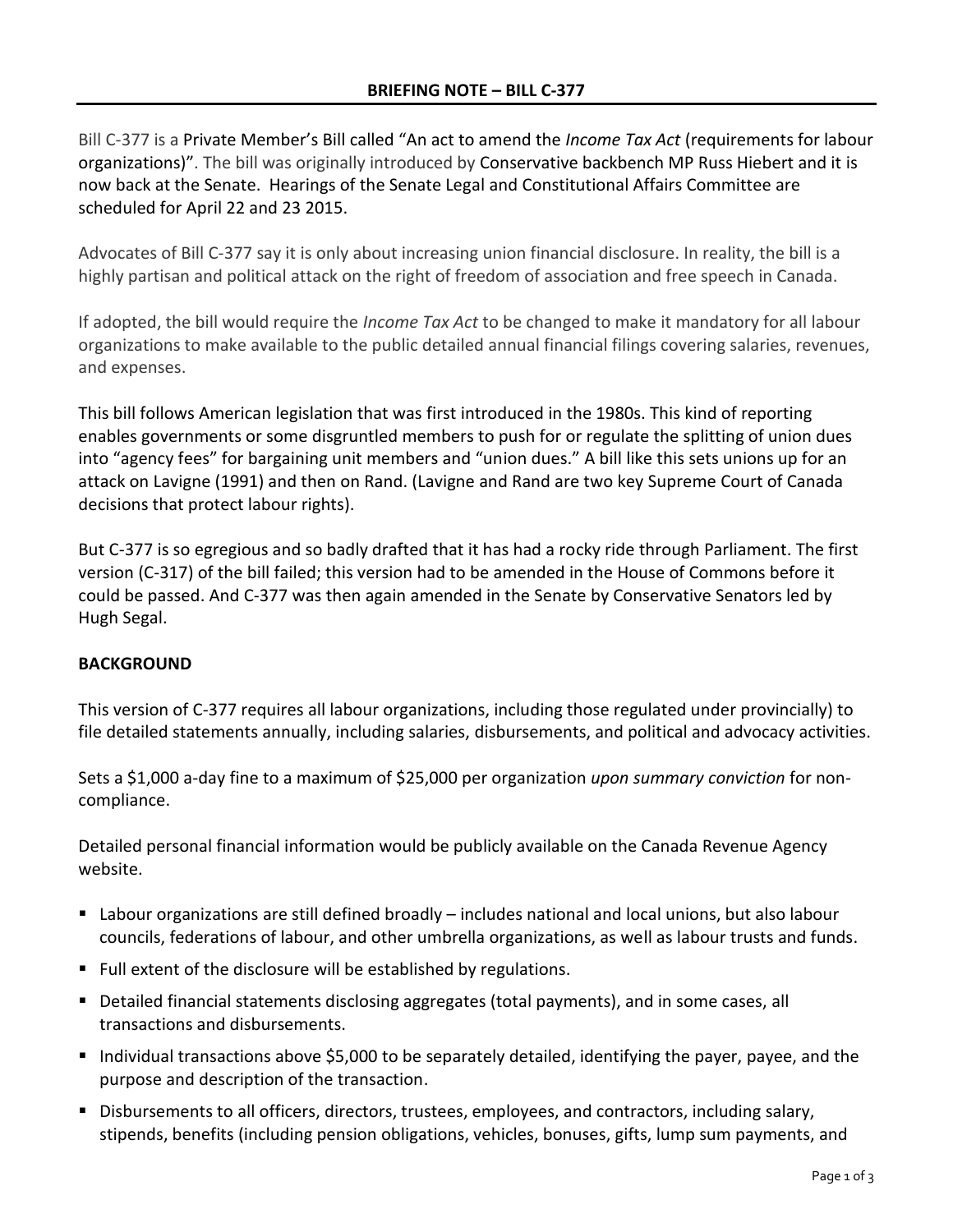Bill C-377 is a Private Member's Bill called "An act to amend the *Income Tax Act* (requirements for labour organizations)". The bill was originally introduced by Conservative backbench MP Russ Hiebert and it is now back at the Senate. Hearings of the Senate Legal and Constitutional Affairs Committee are scheduled for April 22 and 23 2015.

Advocates of Bill C-377 say it is only about increasing union financial disclosure. In reality, the bill is a highly partisan and political attack on the right of freedom of association and free speech in Canada.

If adopted, the bill would require the *Income Tax Act* to be changed to make it mandatory for all labour organizations to make available to the public detailed annual financial filings covering salaries, revenues, and expenses.

This bill follows American legislation that was first introduced in the 1980s. This kind of reporting enables governments or some disgruntled members to push for or regulate the splitting of union dues into "agency fees" for bargaining unit members and "union dues." A bill like this sets unions up for an attack on Lavigne (1991) and then on Rand. (Lavigne and Rand are two key Supreme Court of Canada decisions that protect labour rights).

But C-377 is so egregious and so badly drafted that it has had a rocky ride through Parliament. The first version (C-317) of the bill failed; this version had to be amended in the House of Commons before it could be passed. And C-377 was then again amended in the Senate by Conservative Senators led by Hugh Segal.

## **BACKGROUND**

This version of C-377 requires all labour organizations, including those regulated under provincially) to file detailed statements annually, including salaries, disbursements, and political and advocacy activities.

Sets a \$1,000 a-day fine to a maximum of \$25,000 per organization *upon summary conviction* for noncompliance.

Detailed personal financial information would be publicly available on the Canada Revenue Agency website.

- Labour organizations are still defined broadly includes national and local unions, but also labour councils, federations of labour, and other umbrella organizations, as well as labour trusts and funds.
- Full extent of the disclosure will be established by regulations.
- Detailed financial statements disclosing aggregates (total payments), and in some cases, all transactions and disbursements.
- Individual transactions above \$5,000 to be separately detailed, identifying the payer, payee, and the purpose and description of the transaction.
- **Disbursements to all officers, directors, trustees, employees, and contractors, including salary,** stipends, benefits (including pension obligations, vehicles, bonuses, gifts, lump sum payments, and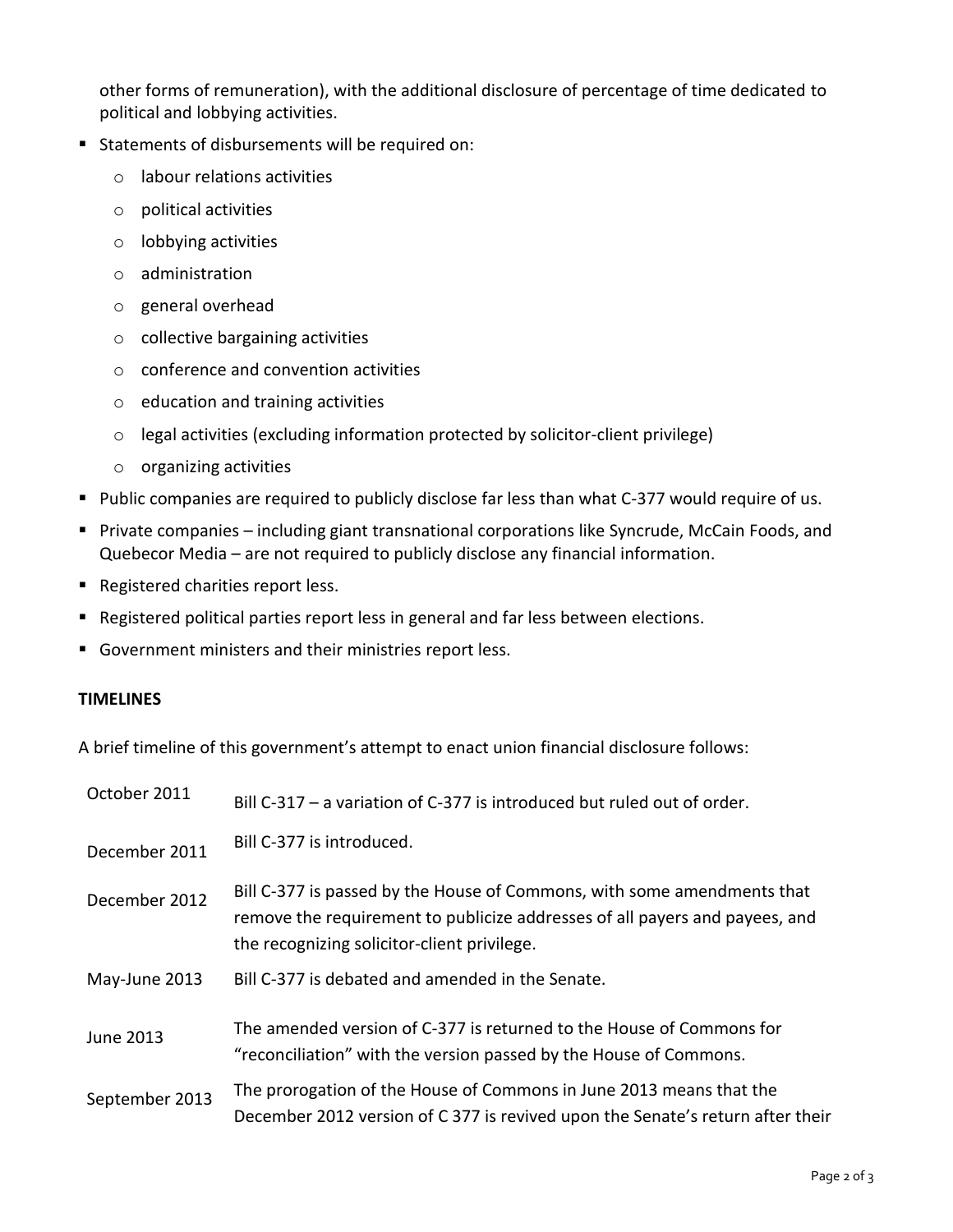other forms of remuneration), with the additional disclosure of percentage of time dedicated to political and lobbying activities.

- **Statements of disbursements will be required on:** 
	- o labour relations activities
	- o political activities
	- o lobbying activities
	- o administration
	- o general overhead
	- o collective bargaining activities
	- o conference and convention activities
	- o education and training activities
	- o legal activities (excluding information protected by solicitor-client privilege)
	- o organizing activities
- Public companies are required to publicly disclose far less than what C-377 would require of us.
- Private companies including giant transnational corporations like Syncrude, McCain Foods, and Quebecor Media – are not required to publicly disclose any financial information.
- Registered charities report less.
- Registered political parties report less in general and far less between elections.
- Government ministers and their ministries report less.

## **TIMELINES**

A brief timeline of this government's attempt to enact union financial disclosure follows:

| October 2011   | Bill C-317 - a variation of C-377 is introduced but ruled out of order.                                                                                                                               |
|----------------|-------------------------------------------------------------------------------------------------------------------------------------------------------------------------------------------------------|
| December 2011  | Bill C-377 is introduced.                                                                                                                                                                             |
| December 2012  | Bill C-377 is passed by the House of Commons, with some amendments that<br>remove the requirement to publicize addresses of all payers and payees, and<br>the recognizing solicitor-client privilege. |
| May-June 2013  | Bill C-377 is debated and amended in the Senate.                                                                                                                                                      |
| June 2013      | The amended version of C-377 is returned to the House of Commons for<br>"reconciliation" with the version passed by the House of Commons.                                                             |
| September 2013 | The prorogation of the House of Commons in June 2013 means that the<br>December 2012 version of C 377 is revived upon the Senate's return after their                                                 |